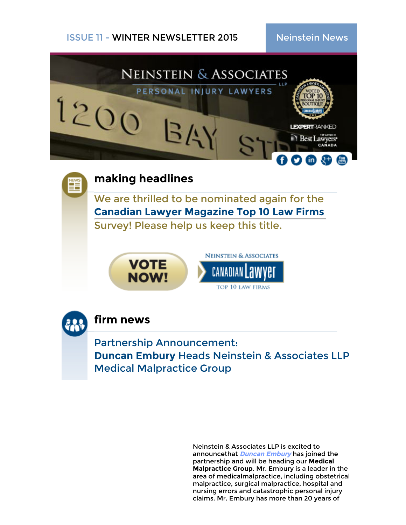





## **firm news**

Partnership Announcement: **Duncan Embury** Heads Neinstein & Associates LLP Medical Malpractice Group

> Neinstein & Associates LLP is excited to announcethat **Duncan [Embury](http://www.neinstein.com/our-lawyers/duncan-embury/)** has joined the partnership and will be heading our **Medical Malpractice Group**. Mr. Embury is a leader in the area of medicalmalpractice, including obstetrical malpractice, surgical malpractice, hospital and nursing errors and catastrophic personal injury claims. Mr. Embury has more than 20 years of